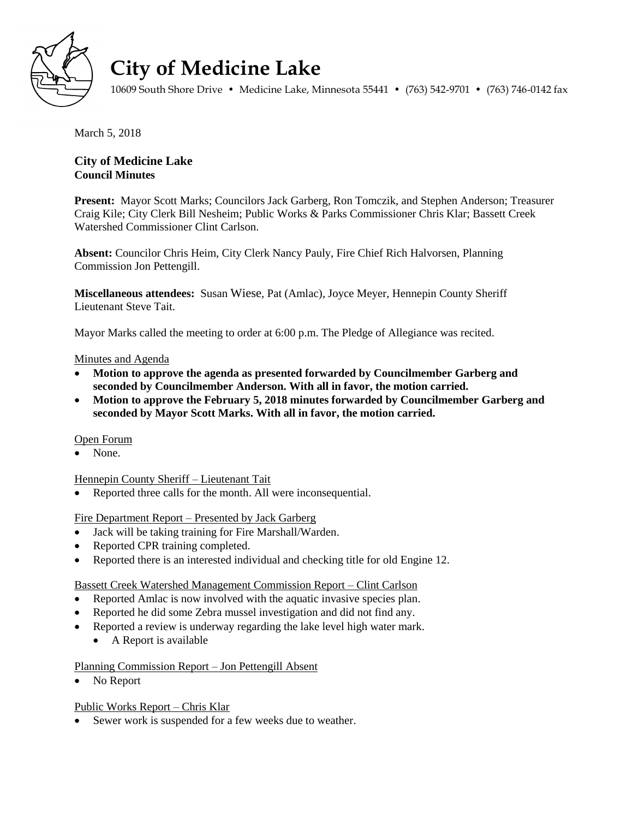

# **City of Medicine Lake**

10609 South Shore Drive • Medicine Lake, Minnesota 55441 • (763) 542-9701 • (763) 746-0142 fax

March 5, 2018

# **City of Medicine Lake Council Minutes**

**Present:** Mayor Scott Marks; Councilors Jack Garberg, Ron Tomczik, and Stephen Anderson; Treasurer Craig Kile; City Clerk Bill Nesheim; Public Works & Parks Commissioner Chris Klar; Bassett Creek Watershed Commissioner Clint Carlson.

**Absent:** Councilor Chris Heim, City Clerk Nancy Pauly, Fire Chief Rich Halvorsen, Planning Commission Jon Pettengill.

**Miscellaneous attendees:** Susan Wiese, Pat (Amlac), Joyce Meyer, Hennepin County Sheriff Lieutenant Steve Tait.

Mayor Marks called the meeting to order at 6:00 p.m. The Pledge of Allegiance was recited.

## Minutes and Agenda

- **Motion to approve the agenda as presented forwarded by Councilmember Garberg and seconded by Councilmember Anderson. With all in favor, the motion carried.**
- **Motion to approve the February 5, 2018 minutes forwarded by Councilmember Garberg and seconded by Mayor Scott Marks. With all in favor, the motion carried.**

#### Open Forum

None.

#### Hennepin County Sheriff – Lieutenant Tait

• Reported three calls for the month. All were inconsequential.

#### Fire Department Report – Presented by Jack Garberg

- Jack will be taking training for Fire Marshall/Warden.
- Reported CPR training completed.
- Reported there is an interested individual and checking title for old Engine 12.

#### Bassett Creek Watershed Management Commission Report – Clint Carlson

- Reported Amlac is now involved with the aquatic invasive species plan.
- Reported he did some Zebra mussel investigation and did not find any.
- Reported a review is underway regarding the lake level high water mark.
	- A Report is available

# Planning Commission Report – Jon Pettengill Absent

No Report

# Public Works Report – Chris Klar

• Sewer work is suspended for a few weeks due to weather.